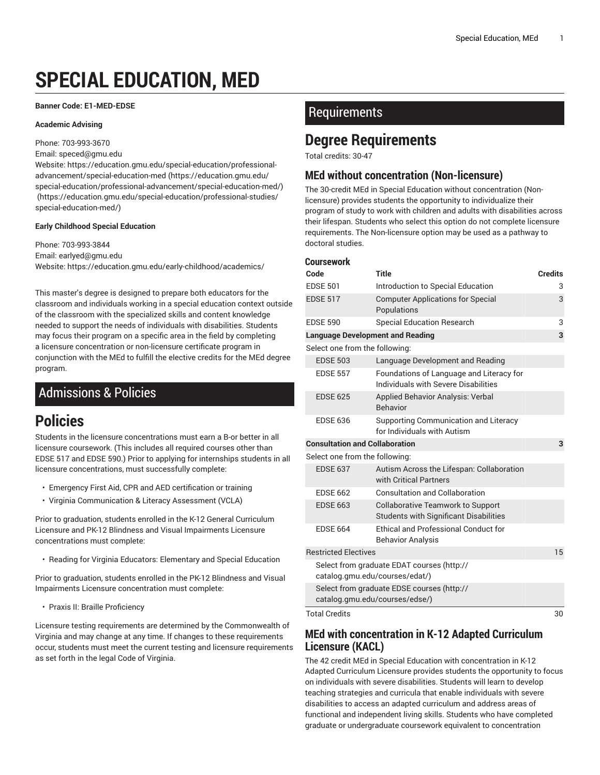# **SPECIAL EDUCATION, MED**

#### **Banner Code: E1-MED-EDSE**

#### **Academic Advising**

Phone: 703-993-3670

Email: [speced@gmu.edu](mailto:speced@gmu.edu)

Website: [https://education.gmu.edu/special-education/professional](https://education.gmu.edu/special-education/professional-advancement/special-education-med/)[advancement/special-education-med \(https://education.gmu.edu/](https://education.gmu.edu/special-education/professional-advancement/special-education-med/) [special-education/professional-advancement/special-education-med/\)](https://education.gmu.edu/special-education/professional-advancement/special-education-med/) ([https://education.gmu.edu/special-education/professional-studies/](https://education.gmu.edu/special-education/professional-studies/special-education-med/) [special-education-med/\)](https://education.gmu.edu/special-education/professional-studies/special-education-med/)

#### **Early Childhood Special Education**

Phone: 703-993-3844 Email: [earlyed@gmu.edu](mailto:earlyed@gmu.edu) Website: <https://education.gmu.edu/early-childhood/academics/>

This master's degree is designed to prepare both educators for the classroom and individuals working in a special education context outside of the classroom with the specialized skills and content knowledge needed to support the needs of individuals with disabilities. Students may focus their program on a specific area in the field by completing a licensure concentration or non-licensure certificate program in conjunction with the MEd to fulfill the elective credits for the MEd degree program.

# Admissions & Policies

# **Policies**

Students in the licensure concentrations must earn a B-or better in all licensure coursework. (This includes all required courses other than EDSE 517 and EDSE 590.) Prior to applying for internships students in all licensure concentrations, must successfully complete:

- Emergency First Aid, CPR and AED certification or training
- Virginia Communication & Literacy Assessment (VCLA)

Prior to graduation, students enrolled in the K-12 General Curriculum Licensure and PK-12 Blindness and Visual Impairments Licensure concentrations must complete:

• Reading for Virginia Educators: Elementary and Special Education

Prior to graduation, students enrolled in the PK-12 Blindness and Visual Impairments Licensure concentration must complete:

• Praxis II: Braille Proficiency

Licensure testing requirements are determined by the Commonwealth of Virginia and may change at any time. If changes to these requirements occur, students must meet the current testing and licensure requirements as set forth in the legal Code of Virginia.

# Requirements

# **Degree Requirements**

Total credits: 30-47

# **MEd without concentration (Non-licensure)**

The 30-credit MEd in Special Education without concentration (Nonlicensure) provides students the opportunity to individualize their program of study to work with children and adults with disabilities across their lifespan. Students who select this option do not complete licensure requirements. The Non-licensure option may be used as a pathway to doctoral studies.

| <b>Coursework</b>                     |                                                                                           |                |
|---------------------------------------|-------------------------------------------------------------------------------------------|----------------|
| Code                                  | <b>Title</b>                                                                              | <b>Credits</b> |
| <b>EDSE 501</b>                       | Introduction to Special Education                                                         | 3              |
| <b>EDSE 517</b>                       | <b>Computer Applications for Special</b><br>Populations                                   | 3              |
| <b>EDSE 590</b>                       | <b>Special Education Research</b>                                                         | 3              |
|                                       | <b>Language Development and Reading</b>                                                   | 3              |
| Select one from the following:        |                                                                                           |                |
| <b>EDSE 503</b>                       | Language Development and Reading                                                          |                |
| <b>EDSE 557</b>                       | Foundations of Language and Literacy for<br>Individuals with Severe Disabilities          |                |
| <b>EDSE 625</b>                       | <b>Applied Behavior Analysis: Verbal</b><br><b>Behavior</b>                               |                |
| <b>EDSE 636</b>                       | Supporting Communication and Literacy<br>for Individuals with Autism                      |                |
| <b>Consultation and Collaboration</b> |                                                                                           | 3              |
| Select one from the following:        |                                                                                           |                |
| <b>EDSE 637</b>                       | Autism Across the Lifespan: Collaboration<br>with Critical Partners                       |                |
| <b>FDSF 662</b>                       | Consultation and Collaboration                                                            |                |
| <b>EDSE 663</b>                       | <b>Collaborative Teamwork to Support</b><br><b>Students with Significant Disabilities</b> |                |
| <b>EDSE 664</b>                       | <b>Ethical and Professional Conduct for</b><br><b>Behavior Analysis</b>                   |                |
| <b>Restricted Electives</b>           |                                                                                           | 15             |
|                                       | Select from graduate EDAT courses (http://<br>catalog.gmu.edu/courses/edat/)              |                |
|                                       | Select from graduate EDSE courses (http://<br>catalog.gmu.edu/courses/edse/)              |                |
| <b>Total Credits</b>                  |                                                                                           | 30             |

# **MEd with concentration in K-12 Adapted Curriculum Licensure (KACL)**

The 42 credit MEd in Special Education with concentration in K-12 Adapted Curriculum Licensure provides students the opportunity to focus on individuals with severe disabilities. Students will learn to develop teaching strategies and curricula that enable individuals with severe disabilities to access an adapted curriculum and address areas of functional and independent living skills. Students who have completed graduate or undergraduate coursework equivalent to concentration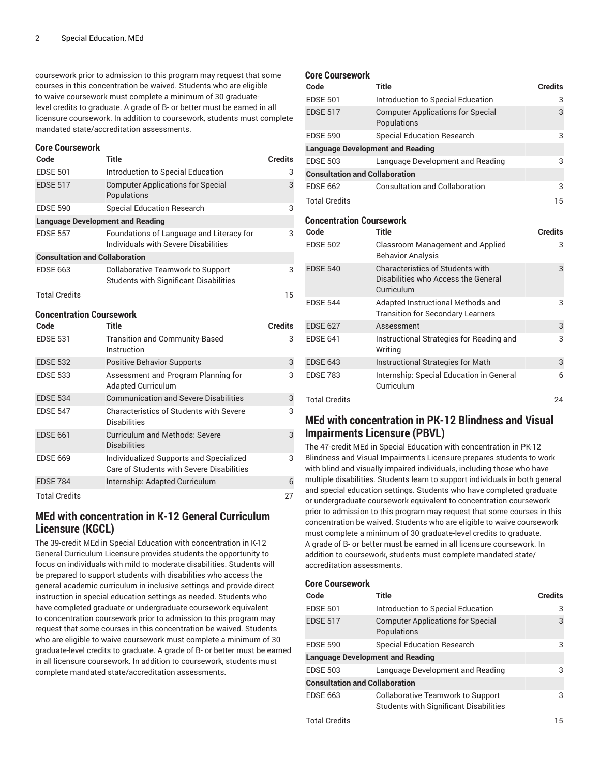coursework prior to admission to this program may request that some courses in this concentration be waived. Students who are eligible to waive coursework must complete a minimum of 30 graduatelevel credits to graduate. A grade of B- or better must be earned in all licensure coursework. In addition to coursework, students must complete mandated state/accreditation assessments.

#### **Core Coursework**

| Code                                  | <b>Title</b>                                                                              | <b>Credits</b> |
|---------------------------------------|-------------------------------------------------------------------------------------------|----------------|
| <b>EDSE 501</b>                       | Introduction to Special Education                                                         | З              |
| <b>EDSE 517</b>                       | <b>Computer Applications for Special</b><br>Populations                                   | 3              |
| <b>EDSE 590</b>                       | <b>Special Education Research</b>                                                         | 3              |
|                                       | <b>Language Development and Reading</b>                                                   |                |
| <b>EDSE 557</b>                       | Foundations of Language and Literacy for<br>Individuals with Severe Disabilities          | 3              |
| <b>Consultation and Collaboration</b> |                                                                                           |                |
| <b>EDSE 663</b>                       | <b>Collaborative Teamwork to Support</b><br><b>Students with Significant Disabilities</b> | 3              |
| <b>Total Credits</b>                  |                                                                                           | 15             |
| <b>Concentration Coursework</b>       |                                                                                           |                |
| Code                                  | Title                                                                                     | <b>Credits</b> |
| <b>EDSE 531</b>                       | <b>Transition and Community-Based</b><br>Instruction                                      | 3              |
| <b>EDSE 532</b>                       | <b>Positive Behavior Supports</b>                                                         | 3              |
| <b>EDSE 533</b>                       | Assessment and Program Planning for<br><b>Adapted Curriculum</b>                          | 3              |
| <b>EDSE 534</b>                       | <b>Communication and Severe Disabilities</b>                                              | 3              |
| <b>EDSE 547</b>                       | <b>Characteristics of Students with Severe</b><br><b>Disabilities</b>                     | 3              |
| <b>EDSE 661</b>                       | <b>Curriculum and Methods: Severe</b><br><b>Disabilities</b>                              | 3              |
| <b>EDSE 669</b>                       | Individualized Supports and Specialized<br>Care of Students with Severe Disabilities      | 3              |
| <b>EDSE 784</b>                       | Internship: Adapted Curriculum                                                            | 6              |
| <b>Total Credits</b>                  |                                                                                           | 27             |

### **MEd with concentration in K-12 General Curriculum Licensure (KGCL)**

The 39-credit MEd in Special Education with concentration in K-12 General Curriculum Licensure provides students the opportunity to focus on individuals with mild to moderate disabilities. Students will be prepared to support students with disabilities who access the general academic curriculum in inclusive settings and provide direct instruction in special education settings as needed. Students who have completed graduate or undergraduate coursework equivalent to concentration coursework prior to admission to this program may request that some courses in this concentration be waived. Students who are eligible to waive coursework must complete a minimum of 30 graduate-level credits to graduate. A grade of B- or better must be earned in all licensure coursework. In addition to coursework, students must complete mandated state/accreditation assessments.

#### **Core Coursework**

| Code                                    | <b>Title</b>                                            | <b>Credits</b> |
|-----------------------------------------|---------------------------------------------------------|----------------|
| <b>EDSE 501</b>                         | Introduction to Special Education                       | 3              |
| <b>EDSE 517</b>                         | <b>Computer Applications for Special</b><br>Populations | 3              |
| <b>EDSE 590</b>                         | <b>Special Education Research</b>                       | 3              |
| <b>Language Development and Reading</b> |                                                         |                |
| <b>EDSE 503</b>                         | Language Development and Reading                        | 3              |
| <b>Consultation and Collaboration</b>   |                                                         |                |
| <b>EDSE 662</b>                         | <b>Consultation and Collaboration</b>                   | 3              |
| <b>Total Credits</b>                    |                                                         | 15             |

### **Concentration Coursework**

| Code                 | <b>Title</b>                                                                          | <b>Credits</b> |
|----------------------|---------------------------------------------------------------------------------------|----------------|
| <b>EDSE 502</b>      | Classroom Management and Applied<br><b>Behavior Analysis</b>                          | 3              |
| <b>EDSE 540</b>      | Characteristics of Students with<br>Disabilities who Access the General<br>Curriculum | 3              |
| <b>EDSE 544</b>      | Adapted Instructional Methods and<br><b>Transition for Secondary Learners</b>         | 3              |
| <b>EDSE 627</b>      | Assessment                                                                            | 3              |
| <b>EDSE 641</b>      | Instructional Strategies for Reading and<br>Writing                                   | 3              |
| <b>EDSE 643</b>      | Instructional Strategies for Math                                                     | 3              |
| <b>EDSE 783</b>      | Internship: Special Education in General<br>Curriculum                                | 6              |
| <b>Total Credits</b> |                                                                                       | 24             |

# **MEd with concentration in PK-12 Blindness and Visual Impairments Licensure (PBVL)**

The 47-credit MEd in Special Education with concentration in PK-12 Blindness and Visual Impairments Licensure prepares students to work with blind and visually impaired individuals, including those who have multiple disabilities. Students learn to support individuals in both general and special education settings. Students who have completed graduate or undergraduate coursework equivalent to concentration coursework prior to admission to this program may request that some courses in this concentration be waived. Students who are eligible to waive coursework must complete a minimum of 30 graduate-level credits to graduate. A grade of B- or better must be earned in all licensure coursework. In addition to coursework, students must complete mandated state/ accreditation assessments.

#### **Core Coursework**

| Code                                    | Title                                                                                     | <b>Credits</b> |
|-----------------------------------------|-------------------------------------------------------------------------------------------|----------------|
| <b>EDSE 501</b>                         | Introduction to Special Education                                                         | 3              |
| <b>EDSE 517</b>                         | <b>Computer Applications for Special</b><br>Populations                                   | 3              |
| <b>EDSE 590</b>                         | <b>Special Education Research</b>                                                         | 3              |
| <b>Language Development and Reading</b> |                                                                                           |                |
| <b>EDSE 503</b>                         | Language Development and Reading                                                          | 3              |
| <b>Consultation and Collaboration</b>   |                                                                                           |                |
| <b>EDSE 663</b>                         | <b>Collaborative Teamwork to Support</b><br><b>Students with Significant Disabilities</b> | 3              |

Total Credits **15**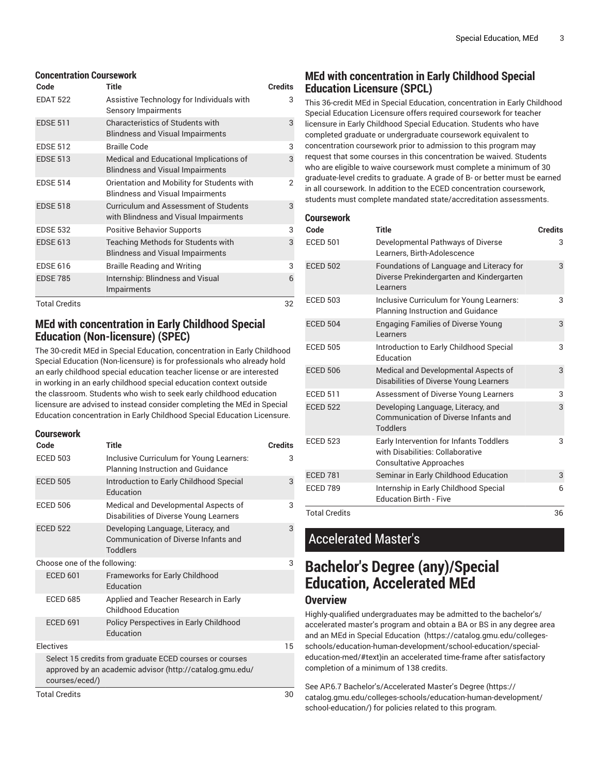#### **Concentration Coursework**

| Code                 | <b>Title</b>                                                                          | <b>Credits</b> |
|----------------------|---------------------------------------------------------------------------------------|----------------|
| <b>EDAT 522</b>      | Assistive Technology for Individuals with<br>Sensory Impairments                      | 3              |
| <b>EDSE 511</b>      | <b>Characteristics of Students with</b><br><b>Blindness and Visual Impairments</b>    | 3              |
| <b>EDSE 512</b>      | <b>Braille Code</b>                                                                   | 3              |
| <b>EDSE 513</b>      | Medical and Educational Implications of<br><b>Blindness and Visual Impairments</b>    | 3              |
| <b>EDSE 514</b>      | Orientation and Mobility for Students with<br><b>Blindness and Visual Impairments</b> | 2              |
| <b>EDSE 518</b>      | Curriculum and Assessment of Students<br>with Blindness and Visual Impairments        | 3              |
| <b>EDSE 532</b>      | <b>Positive Behavior Supports</b>                                                     | 3              |
| <b>EDSE 613</b>      | Teaching Methods for Students with<br><b>Blindness and Visual Impairments</b>         | 3              |
| <b>EDSE 616</b>      | <b>Braille Reading and Writing</b>                                                    | 3              |
| <b>EDSE 785</b>      | Internship: Blindness and Visual<br>Impairments                                       | 6              |
| <b>Total Credits</b> |                                                                                       | 32             |

# **MEd with concentration in Early Childhood Special Education (Non-licensure) (SPEC)**

The 30-credit MEd in Special Education, concentration in Early Childhood Special Education (Non-licensure) is for professionals who already hold an early childhood special education teacher license or are interested in working in an early childhood special education context outside the classroom. Students who wish to seek early childhood education licensure are advised to instead consider completing the MEd in Special Education concentration in Early Childhood Special Education Licensure.

| Coursework                   |                                                                                                                     |                |
|------------------------------|---------------------------------------------------------------------------------------------------------------------|----------------|
| Code                         | Title                                                                                                               | <b>Credits</b> |
| <b>ECED 503</b>              | Inclusive Curriculum for Young Learners:<br><b>Planning Instruction and Guidance</b>                                | 3              |
| <b>ECED 505</b>              | Introduction to Early Childhood Special<br><b>Education</b>                                                         | 3              |
| <b>ECED 506</b>              | Medical and Developmental Aspects of<br>Disabilities of Diverse Young Learners                                      | 3              |
| <b>ECED 522</b>              | Developing Language, Literacy, and<br>Communication of Diverse Infants and<br><b>Toddlers</b>                       | 3              |
| Choose one of the following: |                                                                                                                     | 3              |
| <b>ECED 601</b>              | <b>Frameworks for Early Childhood</b><br>Education                                                                  |                |
| <b>ECED 685</b>              | Applied and Teacher Research in Early<br>Childhood Education                                                        |                |
| <b>ECED 691</b>              | Policy Perspectives in Early Childhood<br>Education                                                                 |                |
| Electives                    |                                                                                                                     | 15             |
| courses/eced/)               | Select 15 credits from graduate ECED courses or courses<br>approved by an academic advisor (http://catalog.gmu.edu/ |                |
| <b>Total Credits</b>         |                                                                                                                     | 30             |

# **MEd with concentration in Early Childhood Special Education Licensure (SPCL)**

This 36-credit MEd in Special Education, concentration in Early Childhood Special Education Licensure offers required coursework for teacher licensure in Early Childhood Special Education. Students who have completed graduate or undergraduate coursework equivalent to concentration coursework prior to admission to this program may request that some courses in this concentration be waived. Students who are eligible to waive coursework must complete a minimum of 30 graduate-level credits to graduate. A grade of B- or better must be earned in all coursework. In addition to the ECED concentration coursework, students must complete mandated state/accreditation assessments.

| Coursework           |                                                                                                               |                |
|----------------------|---------------------------------------------------------------------------------------------------------------|----------------|
| Code                 | <b>Title</b>                                                                                                  | <b>Credits</b> |
| <b>ECED 501</b>      | Developmental Pathways of Diverse<br>Learners, Birth-Adolescence                                              | 3              |
| <b>ECED 502</b>      | Foundations of Language and Literacy for<br>Diverse Prekindergarten and Kindergarten<br>Learners              | 3              |
| <b>ECED 503</b>      | Inclusive Curriculum for Young Learners:<br><b>Planning Instruction and Guidance</b>                          | 3              |
| <b>ECED 504</b>      | <b>Engaging Families of Diverse Young</b><br>I earners                                                        | 3              |
| <b>ECED 505</b>      | Introduction to Early Childhood Special<br>Education                                                          | 3              |
| <b>ECED 506</b>      | Medical and Developmental Aspects of<br>Disabilities of Diverse Young Learners                                | 3              |
| <b>ECED 511</b>      | Assessment of Diverse Young Learners                                                                          | 3              |
| <b>ECED 522</b>      | Developing Language, Literacy, and<br>Communication of Diverse Infants and<br><b>Toddlers</b>                 | 3              |
| <b>ECED 523</b>      | Early Intervention for Infants Toddlers<br>with Disabilities: Collaborative<br><b>Consultative Approaches</b> | 3              |
| <b>ECED 781</b>      | Seminar in Early Childhood Education                                                                          | 3              |
| <b>ECED 789</b>      | Internship in Early Childhood Special<br><b>Education Birth - Five</b>                                        | 6              |
| <b>Total Credits</b> |                                                                                                               | 36             |

# Accelerated Master's

# **Bachelor's Degree (any)/Special Education, Accelerated MEd**

# **Overview**

Highly-qualified undergraduates may be admitted to the bachelor's/ accelerated master's program and obtain a BA or BS in any degree area and an MEd in Special [Education](https://catalog.gmu.edu/colleges-schools/education-human-development/school-education/special-education-med/#text) ([https://catalog.gmu.edu/colleges](https://catalog.gmu.edu/colleges-schools/education-human-development/school-education/special-education-med/#text)[schools/education-human-development/school-education/special](https://catalog.gmu.edu/colleges-schools/education-human-development/school-education/special-education-med/#text)[education-med/#text](https://catalog.gmu.edu/colleges-schools/education-human-development/school-education/special-education-med/#text))in an accelerated time-frame after satisfactory completion of a minimum of 138 credits.

See AP.6.7 [Bachelor's/Accelerated](https://catalog.gmu.edu/colleges-schools/education-human-development/school-education/) Master's Degree ([https://](https://catalog.gmu.edu/colleges-schools/education-human-development/school-education/) [catalog.gmu.edu/colleges-schools/education-human-development/](https://catalog.gmu.edu/colleges-schools/education-human-development/school-education/) [school-education/\)](https://catalog.gmu.edu/colleges-schools/education-human-development/school-education/) for policies related to this program.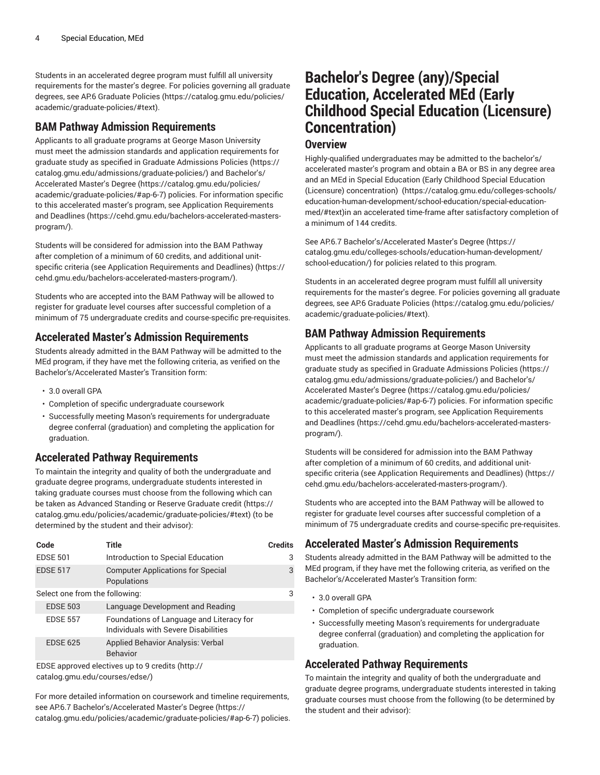Students in an accelerated degree program must fulfill all university requirements for the master's degree. For policies governing all graduate degrees, see AP.6 [Graduate](https://catalog.gmu.edu/policies/academic/graduate-policies/#text) Policies [\(https://catalog.gmu.edu/policies/](https://catalog.gmu.edu/policies/academic/graduate-policies/#text) [academic/graduate-policies/#text](https://catalog.gmu.edu/policies/academic/graduate-policies/#text)).

### **BAM Pathway Admission Requirements**

Applicants to all graduate programs at George Mason University must meet the admission standards and application requirements for graduate study as specified in Graduate [Admissions](https://catalog.gmu.edu/admissions/graduate-policies/) Policies ([https://](https://catalog.gmu.edu/admissions/graduate-policies/) [catalog.gmu.edu/admissions/graduate-policies/](https://catalog.gmu.edu/admissions/graduate-policies/)) and [Bachelor's/](https://catalog.gmu.edu/policies/academic/graduate-policies/#ap-6-7) [Accelerated](https://catalog.gmu.edu/policies/academic/graduate-policies/#ap-6-7) Master's Degree [\(https://catalog.gmu.edu/policies/](https://catalog.gmu.edu/policies/academic/graduate-policies/#ap-6-7) [academic/graduate-policies/#ap-6-7](https://catalog.gmu.edu/policies/academic/graduate-policies/#ap-6-7)) policies. For information specific to this accelerated master's program, see Application [Requirements](https://cehd.gmu.edu/bachelors-accelerated-masters-program/) [and Deadlines \(https://cehd.gmu.edu/bachelors-accelerated-masters](https://cehd.gmu.edu/bachelors-accelerated-masters-program/)[program/\)](https://cehd.gmu.edu/bachelors-accelerated-masters-program/).

Students will be considered for admission into the BAM Pathway after completion of a minimum of 60 credits, and additional unitspecific criteria (see Application [Requirements](https://cehd.gmu.edu/bachelors-accelerated-masters-program/) and Deadlines) [\(https://](https://cehd.gmu.edu/bachelors-accelerated-masters-program/) [cehd.gmu.edu/bachelors-accelerated-masters-program/\)](https://cehd.gmu.edu/bachelors-accelerated-masters-program/).

Students who are accepted into the BAM Pathway will be allowed to register for graduate level courses after successful completion of a minimum of 75 undergraduate credits and course-specific pre-requisites.

### **Accelerated Master's Admission Requirements**

Students already admitted in the BAM Pathway will be admitted to the MEd program, if they have met the following criteria, as verified on the Bachelor's/Accelerated Master's Transition form:

- 3.0 overall GPA
- Completion of specific undergraduate coursework
- Successfully meeting Mason's requirements for undergraduate degree conferral (graduation) and completing the application for graduation.

# **Accelerated Pathway Requirements**

To maintain the integrity and quality of both the undergraduate and graduate degree programs, undergraduate students interested in taking graduate courses must choose from the following which can be taken as [Advanced](https://catalog.gmu.edu/policies/academic/graduate-policies/#text) Standing or Reserve Graduate credit [\(https://](https://catalog.gmu.edu/policies/academic/graduate-policies/#text) [catalog.gmu.edu/policies/academic/graduate-policies/#text](https://catalog.gmu.edu/policies/academic/graduate-policies/#text)) (to be determined by the student and their advisor):

| Code                           | Title                                                                            | <b>Credits</b> |
|--------------------------------|----------------------------------------------------------------------------------|----------------|
| <b>EDSE 501</b>                | Introduction to Special Education                                                | 3              |
| <b>EDSE 517</b>                | <b>Computer Applications for Special</b><br>Populations                          | 3              |
| Select one from the following: |                                                                                  | 3              |
| <b>EDSE 503</b>                | Language Development and Reading                                                 |                |
| <b>EDSE 557</b>                | Foundations of Language and Literacy for<br>Individuals with Severe Disabilities |                |
| <b>EDSE 625</b>                | <b>Applied Behavior Analysis: Verbal</b><br><b>Behavior</b>                      |                |
|                                |                                                                                  |                |

EDSE [approved](http://catalog.gmu.edu/courses/edse/) electives up to 9 credits ([http://](http://catalog.gmu.edu/courses/edse/) [catalog.gmu.edu/courses/edse/](http://catalog.gmu.edu/courses/edse/))

For more detailed information on coursework and timeline requirements, see AP.6.7 [Bachelor's/Accelerated](https://catalog.gmu.edu/policies/academic/graduate-policies/#ap-6-7) Master's Degree ([https://](https://catalog.gmu.edu/policies/academic/graduate-policies/#ap-6-7) [catalog.gmu.edu/policies/academic/graduate-policies/#ap-6-7\)](https://catalog.gmu.edu/policies/academic/graduate-policies/#ap-6-7) policies.

# **Bachelor's Degree (any)/Special Education, Accelerated MEd (Early Childhood Special Education (Licensure) Concentration)**

### **Overview**

Highly-qualified undergraduates may be admitted to the bachelor's/ accelerated master's program and obtain a BA or BS in any degree area and an MEd in Special Education (Early [Childhood](https://catalog.gmu.edu/colleges-schools/education-human-development/school-education/special-education-med/#text) Special Education (Licensure) [concentration\)](https://catalog.gmu.edu/colleges-schools/education-human-development/school-education/special-education-med/#text) [\(https://catalog.gmu.edu/colleges-schools/](https://catalog.gmu.edu/colleges-schools/education-human-development/school-education/special-education-med/#text) [education-human-development/school-education/special-education](https://catalog.gmu.edu/colleges-schools/education-human-development/school-education/special-education-med/#text)[med/#text](https://catalog.gmu.edu/colleges-schools/education-human-development/school-education/special-education-med/#text))in an accelerated time-frame after satisfactory completion of a minimum of 144 credits.

See AP.6.7 [Bachelor's/Accelerated](https://catalog.gmu.edu/colleges-schools/education-human-development/school-education/) Master's Degree ([https://](https://catalog.gmu.edu/colleges-schools/education-human-development/school-education/) [catalog.gmu.edu/colleges-schools/education-human-development/](https://catalog.gmu.edu/colleges-schools/education-human-development/school-education/) [school-education/\)](https://catalog.gmu.edu/colleges-schools/education-human-development/school-education/) for policies related to this program.

Students in an accelerated degree program must fulfill all university requirements for the master's degree. For policies governing all graduate degrees, see AP.6 [Graduate](https://catalog.gmu.edu/policies/academic/graduate-policies/#text) Policies [\(https://catalog.gmu.edu/policies/](https://catalog.gmu.edu/policies/academic/graduate-policies/#text) [academic/graduate-policies/#text\)](https://catalog.gmu.edu/policies/academic/graduate-policies/#text).

# **BAM Pathway Admission Requirements**

Applicants to all graduate programs at George Mason University must meet the admission standards and application requirements for graduate study as specified in Graduate [Admissions](https://catalog.gmu.edu/admissions/graduate-policies/) Policies [\(https://](https://catalog.gmu.edu/admissions/graduate-policies/) [catalog.gmu.edu/admissions/graduate-policies/\)](https://catalog.gmu.edu/admissions/graduate-policies/) and [Bachelor's/](https://catalog.gmu.edu/policies/academic/graduate-policies/#ap-6-7) [Accelerated](https://catalog.gmu.edu/policies/academic/graduate-policies/#ap-6-7) Master's Degree ([https://catalog.gmu.edu/policies/](https://catalog.gmu.edu/policies/academic/graduate-policies/#ap-6-7) [academic/graduate-policies/#ap-6-7](https://catalog.gmu.edu/policies/academic/graduate-policies/#ap-6-7)) policies. For information specific to this accelerated master's program, see Application [Requirements](https://cehd.gmu.edu/bachelors-accelerated-masters-program/) [and Deadlines](https://cehd.gmu.edu/bachelors-accelerated-masters-program/) ([https://cehd.gmu.edu/bachelors-accelerated-masters](https://cehd.gmu.edu/bachelors-accelerated-masters-program/)[program/](https://cehd.gmu.edu/bachelors-accelerated-masters-program/)).

Students will be considered for admission into the BAM Pathway after completion of a minimum of 60 credits, and additional unitspecific criteria (see Application [Requirements](https://cehd.gmu.edu/bachelors-accelerated-masters-program/) and Deadlines) ([https://](https://cehd.gmu.edu/bachelors-accelerated-masters-program/) [cehd.gmu.edu/bachelors-accelerated-masters-program/](https://cehd.gmu.edu/bachelors-accelerated-masters-program/)).

Students who are accepted into the BAM Pathway will be allowed to register for graduate level courses after successful completion of a minimum of 75 undergraduate credits and course-specific pre-requisites.

# **Accelerated Master's Admission Requirements**

Students already admitted in the BAM Pathway will be admitted to the MEd program, if they have met the following criteria, as verified on the Bachelor's/Accelerated Master's Transition form:

- 3.0 overall GPA
- Completion of specific undergraduate coursework
- Successfully meeting Mason's requirements for undergraduate degree conferral (graduation) and completing the application for graduation.

# **Accelerated Pathway Requirements**

To maintain the integrity and quality of both the undergraduate and graduate degree programs, undergraduate students interested in taking graduate courses must choose from the following (to be determined by the student and their advisor):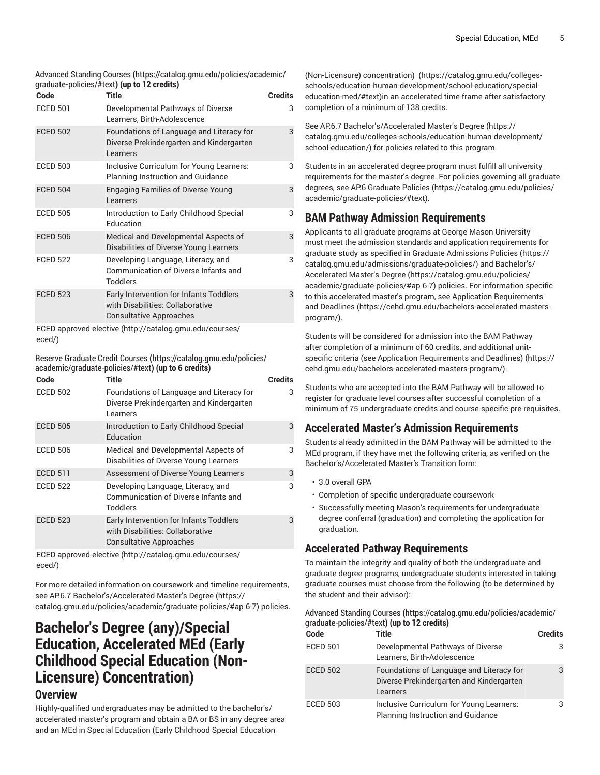[Advanced](https://catalog.gmu.edu/policies/academic/graduate-policies/#text) Standing Courses **(**[https://catalog.gmu.edu/policies/academic/](https://catalog.gmu.edu/policies/academic/graduate-policies/#text) [graduate-policies/#text](https://catalog.gmu.edu/policies/academic/graduate-policies/#text)**) (up to 12 credits)**

| Code            | Title                                                                                                         | <b>Credits</b> |
|-----------------|---------------------------------------------------------------------------------------------------------------|----------------|
| <b>ECED 501</b> | Developmental Pathways of Diverse<br>Learners, Birth-Adolescence                                              | 3              |
| <b>ECED 502</b> | Foundations of Language and Literacy for<br>Diverse Prekindergarten and Kindergarten<br>Learners              | 3              |
| <b>ECED 503</b> | Inclusive Curriculum for Young Learners:<br><b>Planning Instruction and Guidance</b>                          | 3              |
| <b>ECED 504</b> | <b>Engaging Families of Diverse Young</b><br>Learners                                                         | 3              |
| <b>ECED 505</b> | Introduction to Early Childhood Special<br>Education                                                          | 3              |
| <b>ECED 506</b> | Medical and Developmental Aspects of<br>Disabilities of Diverse Young Learners                                | 3              |
| <b>ECED 522</b> | Developing Language, Literacy, and<br><b>Communication of Diverse Infants and</b><br><b>Toddlers</b>          | 3              |
| <b>ECED 523</b> | Early Intervention for Infants Toddlers<br>with Disabilities: Collaborative<br><b>Consultative Approaches</b> | 3              |
|                 |                                                                                                               |                |

ECED [approved](http://catalog.gmu.edu/courses/eced/) elective [\(http://catalog.gmu.edu/courses/](http://catalog.gmu.edu/courses/eced/) [eced/\)](http://catalog.gmu.edu/courses/eced/)

Reserve [Graduate](https://catalog.gmu.edu/policies/academic/graduate-policies/#text) Credit Courses **(**[https://catalog.gmu.edu/policies/](https://catalog.gmu.edu/policies/academic/graduate-policies/#text) [academic/graduate-policies/#text](https://catalog.gmu.edu/policies/academic/graduate-policies/#text)**) (up to 6 credits)**

| Code            | Title                                                                                                         | <b>Credits</b> |
|-----------------|---------------------------------------------------------------------------------------------------------------|----------------|
| <b>ECED 502</b> | Foundations of Language and Literacy for<br>Diverse Prekindergarten and Kindergarten<br>Learners              | 3              |
| <b>ECED 505</b> | Introduction to Early Childhood Special<br>Education                                                          | 3              |
| <b>ECED 506</b> | Medical and Developmental Aspects of<br>Disabilities of Diverse Young Learners                                | 3              |
| <b>ECED 511</b> | Assessment of Diverse Young Learners                                                                          | 3              |
| <b>ECED 522</b> | Developing Language, Literacy, and<br>Communication of Diverse Infants and<br>Toddlers                        | 3              |
| <b>ECED 523</b> | Early Intervention for Infants Toddlers<br>with Disabilities: Collaborative<br><b>Consultative Approaches</b> | 3              |

ECED [approved](http://catalog.gmu.edu/courses/eced/) elective [\(http://catalog.gmu.edu/courses/](http://catalog.gmu.edu/courses/eced/) [eced/\)](http://catalog.gmu.edu/courses/eced/)

For more detailed information on coursework and timeline requirements, see AP.6.7 [Bachelor's/Accelerated](https://catalog.gmu.edu/policies/academic/graduate-policies/#ap-6-7) Master's Degree ([https://](https://catalog.gmu.edu/policies/academic/graduate-policies/#ap-6-7) [catalog.gmu.edu/policies/academic/graduate-policies/#ap-6-7\)](https://catalog.gmu.edu/policies/academic/graduate-policies/#ap-6-7) policies.

# **Bachelor's Degree (any)/Special Education, Accelerated MEd (Early Childhood Special Education (Non-Licensure) Concentration)**

# **Overview**

Highly-qualified undergraduates may be admitted to the bachelor's/ accelerated master's program and obtain a BA or BS in any degree area and an MEd in Special Education (Early [Childhood](https://catalog.gmu.edu/colleges-schools/education-human-development/school-education/special-education-med/#text) Special Education

[\(Non-Licensure\)](https://catalog.gmu.edu/colleges-schools/education-human-development/school-education/special-education-med/#text) concentration) [\(https://catalog.gmu.edu/colleges](https://catalog.gmu.edu/colleges-schools/education-human-development/school-education/special-education-med/#text)[schools/education-human-development/school-education/special](https://catalog.gmu.edu/colleges-schools/education-human-development/school-education/special-education-med/#text)[education-med/#text](https://catalog.gmu.edu/colleges-schools/education-human-development/school-education/special-education-med/#text))in an accelerated time-frame after satisfactory completion of a minimum of 138 credits.

See AP.6.7 [Bachelor's/Accelerated](https://catalog.gmu.edu/colleges-schools/education-human-development/school-education/) Master's Degree ([https://](https://catalog.gmu.edu/colleges-schools/education-human-development/school-education/) [catalog.gmu.edu/colleges-schools/education-human-development/](https://catalog.gmu.edu/colleges-schools/education-human-development/school-education/) [school-education/\)](https://catalog.gmu.edu/colleges-schools/education-human-development/school-education/) for policies related to this program.

Students in an accelerated degree program must fulfill all university requirements for the master's degree. For policies governing all graduate degrees, see AP.6 [Graduate](https://catalog.gmu.edu/policies/academic/graduate-policies/#text) Policies [\(https://catalog.gmu.edu/policies/](https://catalog.gmu.edu/policies/academic/graduate-policies/#text) [academic/graduate-policies/#text\)](https://catalog.gmu.edu/policies/academic/graduate-policies/#text).

# **BAM Pathway Admission Requirements**

Applicants to all graduate programs at George Mason University must meet the admission standards and application requirements for graduate study as specified in Graduate [Admissions](https://catalog.gmu.edu/admissions/graduate-policies/) Policies [\(https://](https://catalog.gmu.edu/admissions/graduate-policies/) [catalog.gmu.edu/admissions/graduate-policies/\)](https://catalog.gmu.edu/admissions/graduate-policies/) and [Bachelor's/](https://catalog.gmu.edu/policies/academic/graduate-policies/#ap-6-7) [Accelerated](https://catalog.gmu.edu/policies/academic/graduate-policies/#ap-6-7) Master's Degree ([https://catalog.gmu.edu/policies/](https://catalog.gmu.edu/policies/academic/graduate-policies/#ap-6-7) [academic/graduate-policies/#ap-6-7](https://catalog.gmu.edu/policies/academic/graduate-policies/#ap-6-7)) policies. For information specific to this accelerated master's program, see Application [Requirements](https://cehd.gmu.edu/bachelors-accelerated-masters-program/) [and Deadlines](https://cehd.gmu.edu/bachelors-accelerated-masters-program/) ([https://cehd.gmu.edu/bachelors-accelerated-masters](https://cehd.gmu.edu/bachelors-accelerated-masters-program/)[program/](https://cehd.gmu.edu/bachelors-accelerated-masters-program/)).

Students will be considered for admission into the BAM Pathway after completion of a minimum of 60 credits, and additional unitspecific criteria (see Application [Requirements](https://cehd.gmu.edu/bachelors-accelerated-masters-program/) and Deadlines) ([https://](https://cehd.gmu.edu/bachelors-accelerated-masters-program/) [cehd.gmu.edu/bachelors-accelerated-masters-program/](https://cehd.gmu.edu/bachelors-accelerated-masters-program/)).

Students who are accepted into the BAM Pathway will be allowed to register for graduate level courses after successful completion of a minimum of 75 undergraduate credits and course-specific pre-requisites.

# **Accelerated Master's Admission Requirements**

Students already admitted in the BAM Pathway will be admitted to the MEd program, if they have met the following criteria, as verified on the Bachelor's/Accelerated Master's Transition form:

- 3.0 overall GPA
- Completion of specific undergraduate coursework
- Successfully meeting Mason's requirements for undergraduate degree conferral (graduation) and completing the application for graduation.

# **Accelerated Pathway Requirements**

To maintain the integrity and quality of both the undergraduate and graduate degree programs, undergraduate students interested in taking graduate courses must choose from the following (to be determined by the student and their advisor):

| Advanced Standing Courses (https://catalog.gmu.edu/policies/academic/ |
|-----------------------------------------------------------------------|
| graduate-policies/#text) <b>(up to 12 credits)</b>                    |

| Code            | <b>Title</b>                                                                                     | <b>Credits</b> |
|-----------------|--------------------------------------------------------------------------------------------------|----------------|
| <b>ECED 501</b> | Developmental Pathways of Diverse<br>Learners, Birth-Adolescence                                 | 3              |
| <b>ECED 502</b> | Foundations of Language and Literacy for<br>Diverse Prekindergarten and Kindergarten<br>Learners | 3              |
| <b>ECED 503</b> | Inclusive Curriculum for Young Learners:<br><b>Planning Instruction and Guidance</b>             | 3              |